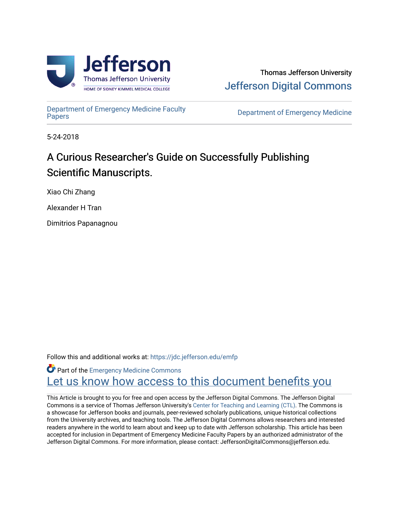



[Department of Emergency Medicine Faculty](https://jdc.jefferson.edu/emfp)

**Department of Emergency Medicine** 

5-24-2018

# A Curious Researcher's Guide on Successfully Publishing Scientific Manuscripts.

Xiao Chi Zhang

Alexander H Tran

Dimitrios Papanagnou

Follow this and additional works at: [https://jdc.jefferson.edu/emfp](https://jdc.jefferson.edu/emfp?utm_source=jdc.jefferson.edu%2Femfp%2F189&utm_medium=PDF&utm_campaign=PDFCoverPages)

Part of the [Emergency Medicine Commons](http://network.bepress.com/hgg/discipline/685?utm_source=jdc.jefferson.edu%2Femfp%2F189&utm_medium=PDF&utm_campaign=PDFCoverPages) Let us know how access to this document benefits you

This Article is brought to you for free and open access by the Jefferson Digital Commons. The Jefferson Digital Commons is a service of Thomas Jefferson University's [Center for Teaching and Learning \(CTL\)](http://www.jefferson.edu/university/teaching-learning.html/). The Commons is a showcase for Jefferson books and journals, peer-reviewed scholarly publications, unique historical collections from the University archives, and teaching tools. The Jefferson Digital Commons allows researchers and interested readers anywhere in the world to learn about and keep up to date with Jefferson scholarship. This article has been accepted for inclusion in Department of Emergency Medicine Faculty Papers by an authorized administrator of the Jefferson Digital Commons. For more information, please contact: JeffersonDigitalCommons@jefferson.edu.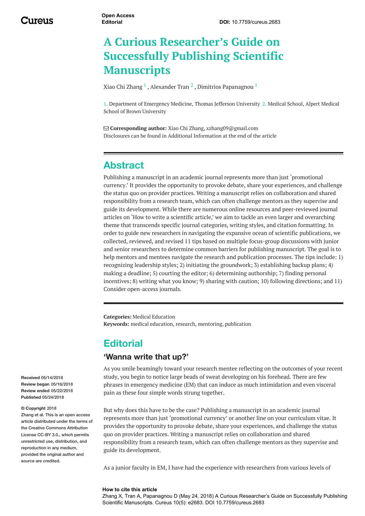# **A Curious Researcher's Guide on Successfully Publishing Scientific Manuscripts**

Xiao Chi [Zhang](https://www.cureus.com/users/58394-xiao-chi-zhang)  $^1$  , [Alexander](https://www.cureus.com/users/99345-alexander-tran) Tran  $^2$  , Dimitrios [Papanagnou](https://www.cureus.com/users/40273-dimitrios-papanagnou-)  $^1$ 

1. Department of Emergency Medicine, Thomas Jefferson University 2. Medical School, Alpert Medical School of Brown University

 **Corresponding author:** Xiao Chi Zhang, xzhang09@gmail.com Disclosures can be found in Additional Information at the end of the article

## <span id="page-1-0"></span>**Abstract**

Publishing a manuscript in an academic journal represents more than just 'promotional currency.' It provides the opportunity to provoke debate, share your experiences, and challenge the status quo on provider practices. Writing a manuscript relies on collaboration and shared responsibility from a research team, which can often challenge mentors as they supervise and guide its development. While there are numerous online resources and peer-reviewed journal articles on 'How to write a scientific article,' we aim to tackle an even larger and overarching theme that transcends specific journal categories, writing styles, and citation formatting. In order to guide new researchers in navigating the expansive ocean of scientific publications, we collected, reviewed, and revised 11 tips based on multiple focus-group discussions with junior and senior researchers to determine common barriers for publishing manuscript. The goal is to help mentors and mentees navigate the research and publication processes. The tips include: 1) recognizing leadership styles; 2) initiating the groundwork; 3) establishing backup plans; 4) making a deadline; 5) courting the editor; 6) determining authorship; 7) finding personal incentives; 8) writing what you know; 9) sharing with caution; 10) following directions; and 11) Consider open-access journals.

**Categories:** Medical Education **Keywords:** medical education, research, mentoring, publication

## **Editorial**

#### **'Wanna write that up?'**

As you smile beamingly toward your research mentee reflecting on the outcomes of your recent study, you begin to notice large beads of sweat developing on his forehead. There are few phrases in emergency medicine (EM) that can induce as much intimidation and even visceral pain as these four simple words strung together.

But why does this have to be the case? Publishing a manuscript in an academic journal represents more than just 'promotional currency' or another line on your curriculum vitae. It provides the opportunity to provoke debate, share your experiences, and challenge the status quo on provider practices. Writing a manuscript relies on collaboration and shared responsibility from a research team, which can often challenge mentors as they supervise and guide its development.

As a junior faculty in EM, I have had the experience with researchers from various levels of

#### **How to cite this article**

Zhang X, Tran A, Papanagnou D (May 24, 2018) A Curious Researcher's Guide on Successfully Publishing Scientific Manuscripts. Cureus 10(5): e2683. DOI 10.7759/cureus.2683

**Received** 05/14/2018 **Review began** 05/16/2018 **Review ended** 05/22/2018 **Published** 05/24/2018

#### **© Copyright** 2018

Zhang et al. This is an open access article distributed under the terms of the Creative Commons Attribution License CC-BY 3.0., which permits unrestricted use, distribution, and reproduction in any medium, provided the original author and source are credited.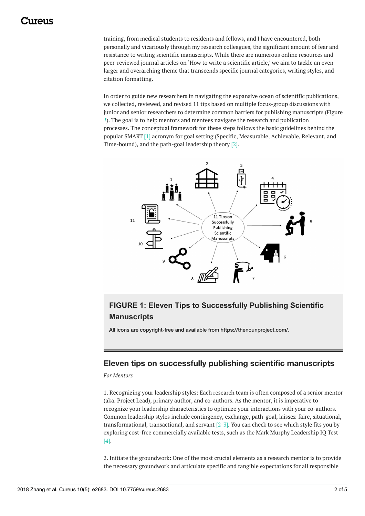## 1 1 17 A 1 1 S

training, from medical students to residents and fellows, and I have encountered, both personally and vicariously through my research colleagues, the significant amount of fear and resistance to writing scientific manuscripts. While there are numerous online resources and peer-reviewed journal articles on 'How to write a scientific article,' we aim to tackle an even larger and overarching theme that transcends specific journal categories, writing styles, and citation formatting.

In order to guide new researchers in navigating the expansive ocean of scientific publications, we collected, reviewed, and revised 11 tips based on multiple focus-group discussions with junior and senior researchers to determine common barriers for publishing manuscripts (Figure *[1](#page-1-0)*). The goal is to help mentors and mentees navigate the research and publication processes. The conceptual framework for these steps follows the basic guidelines behind the popular SMART [1] acronym for goal setting (Specific, Measurable, Achievable, Relevant, and Time-bound), and the path-goal leadership theory [2].



## **FIGURE 1: Eleven Tips to Successfully Publishing Scientific Manuscripts**

All icons are copyright-free and available from https://thenounproject.com/.

#### **Eleven tips on successfully publishing scientific manuscripts**

*For Mentors*

1. Recognizing your leadership styles: Each research team is often composed of a senior mentor (aka. Project Lead), primary author, and co-authors. As the mentor, it is imperative to recognize your leadership characteristics to optimize your interactions with your co-authors. Common leadership styles include contingency, exchange, path-goal, laissez-faire, situational, transformational, transactional, and servant  $[2-3]$ . You can check to see which style fits you by exploring cost-free commercially available tests, such as the Mark Murphy Leadership IQ Test [4].

2. Initiate the groundwork: One of the most crucial elements as a research mentor is to provide the necessary groundwork and articulate specific and tangible expectations for all responsible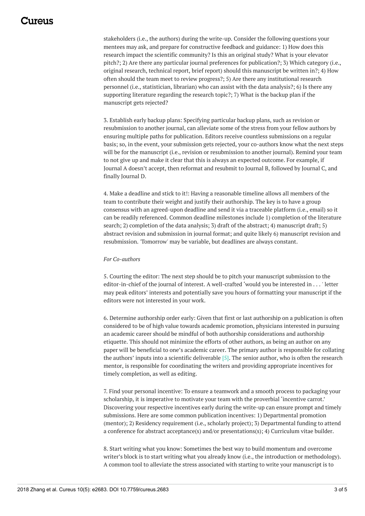stakeholders (i.e., the authors) during the write-up. Consider the following questions your mentees may ask, and prepare for constructive feedback and guidance: 1) How does this research impact the scientific community? Is this an original study? What is your elevator pitch?; 2) Are there any particular journal preferences for publication?; 3) Which category (i.e., original research, technical report, brief report) should this manuscript be written in?; 4) How often should the team meet to review progress?; 5) Are there any institutional research personnel (i.e., statistician, librarian) who can assist with the data analysis?; 6) Is there any supporting literature regarding the research topic?; 7) What is the backup plan if the manuscript gets rejected?

3. Establish early backup plans: Specifying particular backup plans, such as revision or resubmission to another journal, can alleviate some of the stress from your fellow authors by ensuring multiple paths for publication. Editors receive countless submissions on a regular basis; so, in the event, your submission gets rejected, your co-authors know what the next steps will be for the manuscript (i.e., revision or resubmission to another journal). Remind your team to not give up and make it clear that this is always an expected outcome. For example, if Journal A doesn't accept, then reformat and resubmit to Journal B, followed by Journal C, and finally Journal D.

4. Make a deadline and stick to it!: Having a reasonable timeline allows all members of the team to contribute their weight and justify their authorship. The key is to have a group consensus with an agreed-upon deadline and send it via a traceable platform (i.e., email) so it can be readily referenced. Common deadline milestones include 1) completion of the literature search; 2) completion of the data analysis; 3) draft of the abstract; 4) manuscript draft; 5) abstract revision and submission in journal format; and quite likely 6) manuscript revision and resubmission. 'Tomorrow' may be variable, but deadlines are always constant.

#### *For Co-authors*

5. Courting the editor: The next step should be to pitch your manuscript submission to the editor-in-chief of the journal of interest. A well-crafted 'would you be interested in . . . ' letter may peak editors' interests and potentially save you hours of formatting your manuscript if the editors were not interested in your work.

6. Determine authorship order early: Given that first or last authorship on a publication is often considered to be of high value towards academic promotion, physicians interested in pursuing an academic career should be mindful of both authorship considerations and authorship etiquette. This should not minimize the efforts of other authors, as being an author on any paper will be beneficial to one's academic career. The primary author is responsible for collating the authors' inputs into a scientific deliverable [5]. The senior author, who is often the research mentor, is responsible for coordinating the writers and providing appropriate incentives for timely completion, as well as editing.

7. Find your personal incentive: To ensure a teamwork and a smooth process to packaging your scholarship, it is imperative to motivate your team with the proverbial 'incentive carrot.' Discovering your respective incentives early during the write-up can ensure prompt and timely submissions. Here are some common publication incentives: 1) Departmental promotion (mentor); 2) Residency requirement (i.e., scholarly project); 3) Departmental funding to attend a conference for abstract acceptance(s) and/or presentations(s); 4) Curriculum vitae builder.

8. Start writing what you know: Sometimes the best way to build momentum and overcome writer's block is to start writing what you already know (i.e., the introduction or methodology). A common tool to alleviate the stress associated with starting to write your manuscript is to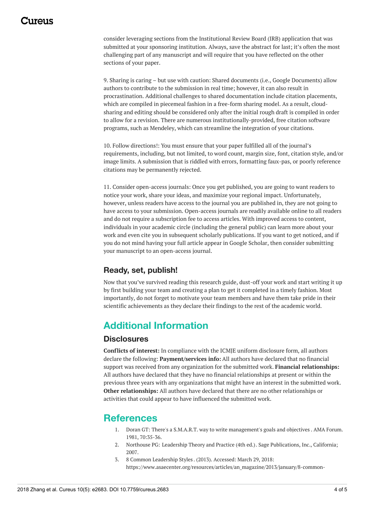# 1174110

consider leveraging sections from the Institutional Review Board (IRB) application that was submitted at your sponsoring institution. Always, save the abstract for last; it's often the most challenging part of any manuscript and will require that you have reflected on the other sections of your paper.

9. Sharing is caring – but use with caution: Shared documents (i.e., Google Documents) allow authors to contribute to the submission in real time; however, it can also result in procrastination. Additional challenges to shared documentation include citation placements, which are compiled in piecemeal fashion in a free-form sharing model. As a result, cloudsharing and editing should be considered only after the initial rough draft is compiled in order to allow for a revision. There are numerous institutionally-provided, free citation software programs, such as Mendeley, which can streamline the integration of your citations.

10. Follow directions!: You must ensure that your paper fulfilled all of the journal's requirements, including, but not limited, to word count, margin size, font, citation style, and/or image limits. A submission that is riddled with errors, formatting faux-pas, or poorly reference citations may be permanently rejected.

11. Consider open-access journals: Once you get published, you are going to want readers to notice your work, share your ideas, and maximize your regional impact. Unfortunately, however, unless readers have access to the journal you are published in, they are not going to have access to your submission. Open-access journals are readily available online to all readers and do not require a subscription fee to access articles. With improved access to content, individuals in your academic circle (including the general public) can learn more about your work and even cite you in subsequent scholarly publications. If you want to get noticed, and if you do not mind having your full article appear in Google Scholar, then consider submitting your manuscript to an open-access journal.

## **Ready, set, publish!**

Now that you've survived reading this research guide, dust-off your work and start writing it up by first building your team and creating a plan to get it completed in a timely fashion. Most importantly, do not forget to motivate your team members and have them take pride in their scientific achievements as they declare their findings to the rest of the academic world.

# **Additional Information**

### **Disclosures**

**Conflicts of interest:** In compliance with the ICMJE uniform disclosure form, all authors declare the following: **Payment/services info:** All authors have declared that no financial support was received from any organization for the submitted work. **Financial relationships:** All authors have declared that they have no financial relationships at present or within the previous three years with any organizations that might have an interest in the submitted work. **Other relationships:** All authors have declared that there are no other relationships or activities that could appear to have influenced the submitted work.

# **References**

- 1. Doran GT: There's a S.M.A.R.T. way to write [management's](https://community.mis.temple.edu/mis0855002fall2015/files/2015/10/S.M.A.R.T-Way-Management-Review.pdf) goals and objectives . AMA Forum. 1981, 70:35-36.
- 2. Northouse PG: [Leadership](http://psycnet.apa.org/record/2006-21567-000) Theory and Practice (4th ed.). Sage Publications, Inc., California; 2007.
- 3. 8 Common [Leadership](https://www.asaecenter.org/resources/articles/an_magazine/2013/january/8-common-leadership-styles) Styles . (2013). Accessed: March 29, 2018: [https://www.asaecenter.org/resources/articles/an\\_magazine/2013/january/8-common-](https://www.asaecenter.org/resources/articles/an_magazine/2013/january/8-common-leadership-styles)